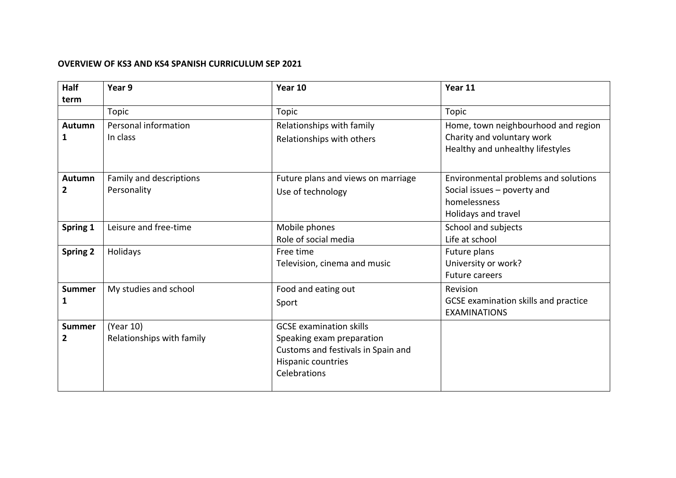## **OVERVIEW OF KS3 AND KS4 SPANISH CURRICULUM SEP 2021**

| <b>Half</b>     | Year 9                    | Year 10                            | Year 11                                                        |
|-----------------|---------------------------|------------------------------------|----------------------------------------------------------------|
| term            |                           |                                    |                                                                |
|                 | Topic                     | Topic                              | Topic                                                          |
| Autumn          | Personal information      | Relationships with family          | Home, town neighbourhood and region                            |
| 1               | In class                  | Relationships with others          | Charity and voluntary work<br>Healthy and unhealthy lifestyles |
| Autumn          | Family and descriptions   | Future plans and views on marriage | Environmental problems and solutions                           |
| 2               | Personality               | Use of technology                  | Social issues $-$ poverty and                                  |
|                 |                           |                                    | homelessness                                                   |
|                 |                           |                                    | Holidays and travel                                            |
| Spring 1        | Leisure and free-time     | Mobile phones                      | School and subjects                                            |
|                 |                           | Role of social media               | Life at school                                                 |
| <b>Spring 2</b> | Holidays                  | Free time                          | Future plans                                                   |
|                 |                           | Television, cinema and music       | University or work?                                            |
|                 |                           |                                    | <b>Future careers</b>                                          |
| <b>Summer</b>   | My studies and school     | Food and eating out                | Revision                                                       |
| 1               |                           | Sport                              | GCSE examination skills and practice<br><b>EXAMINATIONS</b>    |
| <b>Summer</b>   | (Year 10)                 | <b>GCSE</b> examination skills     |                                                                |
| $\overline{2}$  | Relationships with family | Speaking exam preparation          |                                                                |
|                 |                           | Customs and festivals in Spain and |                                                                |
|                 |                           | Hispanic countries                 |                                                                |
|                 |                           | Celebrations                       |                                                                |
|                 |                           |                                    |                                                                |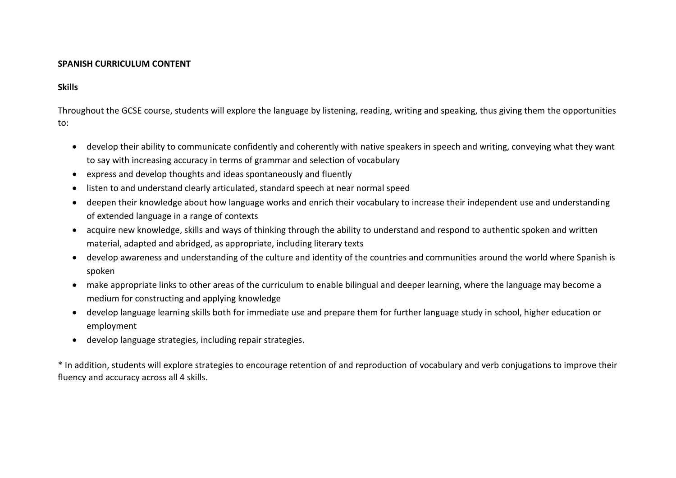## **SPANISH CURRICULUM CONTENT**

## **Skills**

Throughout the GCSE course, students will explore the language by listening, reading, writing and speaking, thus giving them the opportunities to:

- develop their ability to communicate confidently and coherently with native speakers in speech and writing, conveying what they want to say with increasing accuracy in terms of grammar and selection of vocabulary
- express and develop thoughts and ideas spontaneously and fluently
- listen to and understand clearly articulated, standard speech at near normal speed
- deepen their knowledge about how language works and enrich their vocabulary to increase their independent use and understanding of extended language in a range of contexts
- acquire new knowledge, skills and ways of thinking through the ability to understand and respond to authentic spoken and written material, adapted and abridged, as appropriate, including literary texts
- develop awareness and understanding of the culture and identity of the countries and communities around the world where Spanish is spoken
- make appropriate links to other areas of the curriculum to enable bilingual and deeper learning, where the language may become a medium for constructing and applying knowledge
- develop language learning skills both for immediate use and prepare them for further language study in school, higher education or employment
- develop language strategies, including repair strategies.

\* In addition, students will explore strategies to encourage retention of and reproduction of vocabulary and verb conjugations to improve their fluency and accuracy across all 4 skills.